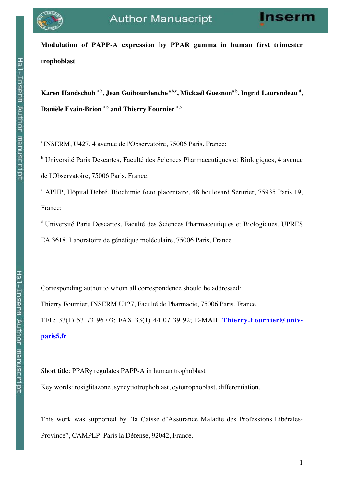

**Modulation of PAPP-A expression by PPAR gamma in human first trimester trophoblast**

Karen Handschuh <sup>a,b</sup>, Jean Guibourdenche <sup>a,b,c</sup>, Mickaël Guesnon<sup>a,b</sup>, Ingrid Laurendeau<sup>d</sup>, **Danièle Evain-Brion a,b and Thierry Fournier a,b**

a INSERM, U427, 4 avenue de l'Observatoire, 75006 Paris, France;

<sup>b</sup> Université Paris Descartes, Faculté des Sciences Pharmaceutiques et Biologiques, 4 avenue de l'Observatoire, 75006 Paris, France;

<sup>c</sup> APHP, Hôpital Debré, Biochimie fœto placentaire, 48 boulevard Sérurier, 75935 Paris 19, France;

d Université Paris Descartes, Faculté des Sciences Pharmaceutiques et Biologiques, UPRES EA 3618, Laboratoire de génétique moléculaire, 75006 Paris, France

Corresponding author to whom all correspondence should be addressed: Thierry Fournier, INSERM U427, Faculté de Pharmacie, 75006 Paris, France TEL: 33(1) 53 73 96 03; FAX 33(1) 44 07 39 92; E-MAIL **Thierry.Fournier@univparis5.fr**

Short title: PPARγ regulates PAPP-A in human trophoblast

Key words: rosiglitazone, syncytiotrophoblast, cytotrophoblast, differentiation,

This work was supported by "la Caisse d'Assurance Maladie des Professions Libérales-Province", CAMPLP, Paris la Défense, 92042, France.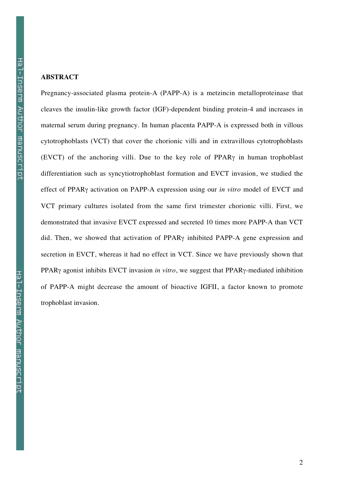# **ABSTRACT**

Pregnancy-associated plasma protein-A (PAPP-A) is a metzincin metalloproteinase that cleaves the insulin-like growth factor (IGF)-dependent binding protein-4 and increases in maternal serum during pregnancy. In human placenta PAPP-A is expressed both in villous cytotrophoblasts (VCT) that cover the chorionic villi and in extravillous cytotrophoblasts (EVCT) of the anchoring villi. Due to the key role of PPARγ in human trophoblast differentiation such as syncytiotrophoblast formation and EVCT invasion, we studied the effect of PPARγ activation on PAPP-A expression using our *in vitro* model of EVCT and VCT primary cultures isolated from the same first trimester chorionic villi. First, we demonstrated that invasive EVCT expressed and secreted 10 times more PAPP-A than VCT did. Then, we showed that activation of PPARγ inhibited PAPP-A gene expression and secretion in EVCT, whereas it had no effect in VCT. Since we have previously shown that PPARγ agonist inhibits EVCT invasion *in vitro*, we suggest that PPARγ-mediated inhibition of PAPP-A might decrease the amount of bioactive IGFII, a factor known to promote trophoblast invasion.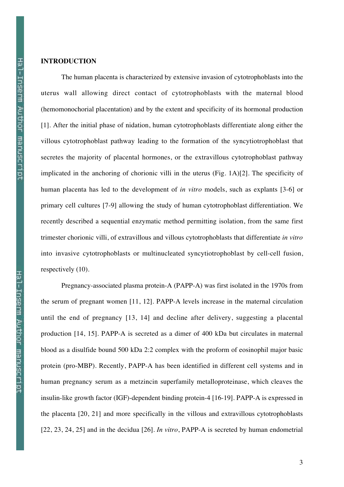### **INTRODUCTION**

The human placenta is characterized by extensive invasion of cytotrophoblasts into the uterus wall allowing direct contact of cytotrophoblasts with the maternal blood (hemomonochorial placentation) and by the extent and specificity of its hormonal production [1]. After the initial phase of nidation, human cytotrophoblasts differentiate along either the villous cytotrophoblast pathway leading to the formation of the syncytiotrophoblast that secretes the majority of placental hormones, or the extravillous cytotrophoblast pathway implicated in the anchoring of chorionic villi in the uterus (Fig. 1A)[2]. The specificity of human placenta has led to the development of *in vitro* models, such as explants [3-6] or primary cell cultures [7-9] allowing the study of human cytotrophoblast differentiation. We recently described a sequential enzymatic method permitting isolation, from the same first trimester chorionic villi, of extravillous and villous cytotrophoblasts that differentiate *in vitro* into invasive cytotrophoblasts or multinucleated syncytiotrophoblast by cell-cell fusion, respectively (10).

Pregnancy-associated plasma protein-A (PAPP-A) was first isolated in the 1970s from the serum of pregnant women [11, 12]. PAPP-A levels increase in the maternal circulation until the end of pregnancy [13, 14] and decline after delivery, suggesting a placental production [14, 15]. PAPP-A is secreted as a dimer of 400 kDa but circulates in maternal blood as a disulfide bound 500 kDa 2:2 complex with the proform of eosinophil major basic protein (pro-MBP). Recently, PAPP-A has been identified in different cell systems and in human pregnancy serum as a metzincin superfamily metalloproteinase, which cleaves the insulin-like growth factor (IGF)-dependent binding protein-4 [16-19]. PAPP-A is expressed in the placenta [20, 21] and more specifically in the villous and extravillous cytotrophoblasts [22, 23, 24, 25] and in the decidua [26]. *In vitro*, PAPP-A is secreted by human endometrial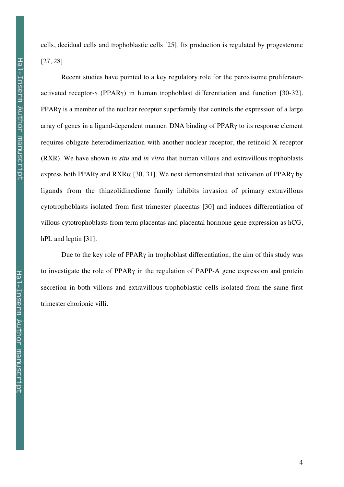cells, decidual cells and trophoblastic cells [25]. Its production is regulated by progesterone [27, 28].

Recent studies have pointed to a key regulatory role for the peroxisome proliferatoractivated receptor-γ (PPARγ) in human trophoblast differentiation and function [30-32]. PPAR $\gamma$  is a member of the nuclear receptor superfamily that controls the expression of a large array of genes in a ligand-dependent manner. DNA binding of PPARγ to its response element requires obligate heterodimerization with another nuclear receptor, the retinoid X receptor (RXR). We have shown *in situ* and *in vitro* that human villous and extravillous trophoblasts express both PPAR<sub>Y</sub> and RXR $\alpha$  [30, 31]. We next demonstrated that activation of PPAR<sub>Y</sub> by ligands from the thiazolidinedione family inhibits invasion of primary extravillous cytotrophoblasts isolated from first trimester placentas [30] and induces differentiation of villous cytotrophoblasts from term placentas and placental hormone gene expression as hCG, hPL and leptin [31].

Due to the key role of  $PPAR\gamma$  in trophoblast differentiation, the aim of this study was to investigate the role of PPARγ in the regulation of PAPP-A gene expression and protein secretion in both villous and extravillous trophoblastic cells isolated from the same first trimester chorionic villi.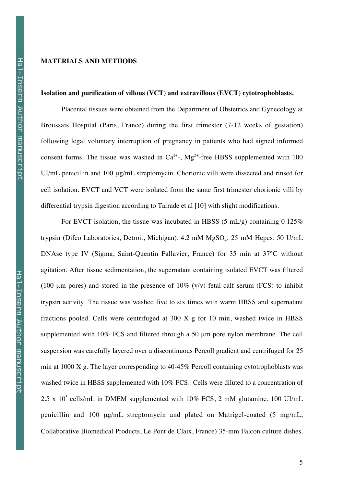## **MATERIALS AND METHODS**

### **Isolation and purification of villous (VCT) and extravillous (EVCT) cytotrophoblasts.**

Placental tissues were obtained from the Department of Obstetrics and Gynecology at Broussais Hospital (Paris, France) during the first trimester (7-12 weeks of gestation) following legal voluntary interruption of pregnancy in patients who had signed informed consent forms. The tissue was washed in  $Ca^{2+}$ ,  $Mg^{2+}$ -free HBSS supplemented with 100 UI/mL penicillin and 100  $\mu$ g/mL streptomycin. Chorionic villi were dissected and rinsed for cell isolation. EVCT and VCT were isolated from the same first trimester chorionic villi by differential trypsin digestion according to Tarrade et al [10] with slight modifications.

For EVCT isolation, the tissue was incubated in HBSS (5 mL/g) containing  $0.125\%$ trypsin (Difco Laboratories, Detroit, Michigan), 4.2 mM  $MgSO<sub>4</sub>$ , 25 mM Hepes, 50 U/mL DNAse type IV (Sigma, Saint-Quentin Fallavier, France) for 35 min at 37°C without agitation. After tissue sedimentation, the supernatant containing isolated EVCT was filtered (100  $\mu$ m pores) and stored in the presence of 10% (v/v) fetal calf serum (FCS) to inhibit trypsin activity. The tissue was washed five to six times with warm HBSS and supernatant fractions pooled. Cells were centrifuged at 300 X g for 10 min, washed twice in HBSS supplemented with 10% FCS and filtered through a 50 µm pore nylon membrane. The cell suspension was carefully layered over a discontinuous Percoll gradient and centrifuged for 25 min at 1000 X g. The layer corresponding to 40-45% Percoll containing cytotrophoblasts was washed twice in HBSS supplemented with 10% FCS. Cells were diluted to a concentration of 2.5 x  $10^5$  cells/mL in DMEM supplemented with 10% FCS, 2 mM glutamine, 100 UI/mL penicillin and 100 µg/mL streptomycin and plated on Matrigel-coated (5 mg/mL; Collaborative Biomedical Products, Le Pont de Claix, France) 35-mm Falcon culture dishes.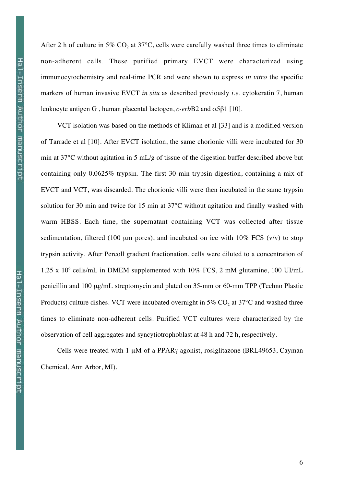After 2 h of culture in 5%  $CO<sub>2</sub>$  at 37°C, cells were carefully washed three times to eliminate non-adherent cells. These purified primary EVCT were characterized using immunocytochemistry and real-time PCR and were shown to express *in vitro* the specific markers of human invasive EVCT *in situ* as described previously *i.e.* cytokeratin 7, human leukocyte antigen G , human placental lactogen, *c-erb*B2 and α5β1 [10].

VCT isolation was based on the methods of Kliman et al [33] and is a modified version of Tarrade et al [10]. After EVCT isolation, the same chorionic villi were incubated for 30 min at 37°C without agitation in 5 mL/g of tissue of the digestion buffer described above but containing only 0.0625% trypsin. The first 30 min trypsin digestion, containing a mix of EVCT and VCT, was discarded. The chorionic villi were then incubated in the same trypsin solution for 30 min and twice for 15 min at 37°C without agitation and finally washed with warm HBSS. Each time, the supernatant containing VCT was collected after tissue sedimentation, filtered (100  $\mu$ m pores), and incubated on ice with 10% FCS (v/v) to stop trypsin activity. After Percoll gradient fractionation, cells were diluted to a concentration of 1.25 x  $10^6$  cells/mL in DMEM supplemented with  $10\%$  FCS, 2 mM glutamine, 100 UI/mL penicillin and 100 µg/mL streptomycin and plated on 35-mm or 60-mm TPP (Techno Plastic Products) culture dishes. VCT were incubated overnight in  $5\%$  CO<sub>2</sub> at  $37^{\circ}$ C and washed three times to eliminate non-adherent cells. Purified VCT cultures were characterized by the observation of cell aggregates and syncytiotrophoblast at 48 h and 72 h, respectively.

Cells were treated with 1 µM of a PPARγ agonist, rosiglitazone (BRL49653, Cayman Chemical, Ann Arbor, MI).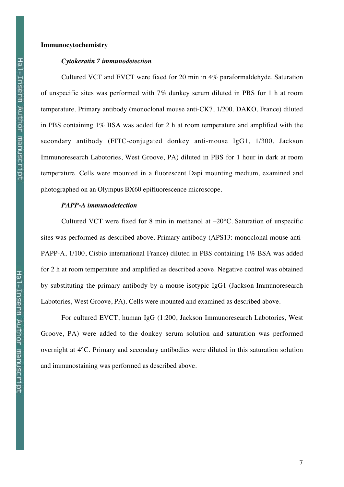### **Immunocytochemistry**

### *Cytokeratin 7 immunodetection*

Cultured VCT and EVCT were fixed for 20 min in 4% paraformaldehyde. Saturation of unspecific sites was performed with 7% dunkey serum diluted in PBS for 1 h at room temperature. Primary antibody (monoclonal mouse anti-CK7, 1/200, DAKO, France) diluted in PBS containing 1% BSA was added for 2 h at room temperature and amplified with the secondary antibody (FITC-conjugated donkey anti-mouse IgG1, 1/300, Jackson Immunoresearch Labotories, West Groove, PA) diluted in PBS for 1 hour in dark at room temperature. Cells were mounted in a fluorescent Dapi mounting medium, examined and photographed on an Olympus BX60 epifluorescence microscope.

## *PAPP-A immunodetection*

Cultured VCT were fixed for 8 min in methanol at –20°C. Saturation of unspecific sites was performed as described above. Primary antibody (APS13: monoclonal mouse anti-PAPP-A, 1/100, Cisbio international France) diluted in PBS containing 1% BSA was added for 2 h at room temperature and amplified as described above. Negative control was obtained by substituting the primary antibody by a mouse isotypic IgG1 (Jackson Immunoresearch Labotories, West Groove, PA). Cells were mounted and examined as described above.

For cultured EVCT, human IgG (1:200, Jackson Immunoresearch Labotories, West Groove, PA) were added to the donkey serum solution and saturation was performed overnight at 4°C. Primary and secondary antibodies were diluted in this saturation solution and immunostaining was performed as described above.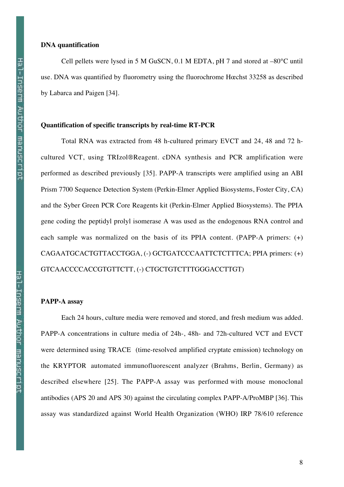## **DNA quantification**

Cell pellets were lysed in 5 M GuSCN, 0.1 M EDTA, pH 7 and stored at –80°C until use. DNA was quantified by fluorometry using the fluorochrome Hœchst 33258 as described by Labarca and Paigen [34].

#### **Quantification of specific transcripts by real-time RT-PCR**

Total RNA was extracted from 48 h-cultured primary EVCT and 24, 48 and 72 hcultured VCT, using TRIzol®Reagent. cDNA synthesis and PCR amplification were performed as described previously [35]. PAPP-A transcripts were amplified using an ABI Prism 7700 Sequence Detection System (Perkin-Elmer Applied Biosystems, Foster City, CA) and the Syber Green PCR Core Reagents kit (Perkin-Elmer Applied Biosystems). The PPIA gene coding the peptidyl prolyl isomerase A was used as the endogenous RNA control and each sample was normalized on the basis of its PPIA content. (PAPP-A primers: (+) CAGAATGCACTGTTACCTGGA, (-) GCTGATCCCAATTCTCTTTCA; PPIA primers: (+) GTCAACCCCACCGTGTTCTT, (-) CTGCTGTCTTTGGGACCTTGT)

## **PAPP-A assay**

Each 24 hours, culture media were removed and stored, and fresh medium was added. PAPP-A concentrations in culture media of 24h-, 48h- and 72h-cultured VCT and EVCT were determined using TRACE (time-resolved amplified cryptate emission) technology on the KRYPTOR automated immunofluorescent analyzer (Brahms, Berlin, Germany) as described elsewhere [25]. The PAPP-A assay was performed with mouse monoclonal antibodies (APS 20 and APS 30) against the circulating complex PAPP-A/ProMBP [36]. This assay was standardized against World Health Organization (WHO) IRP 78/610 reference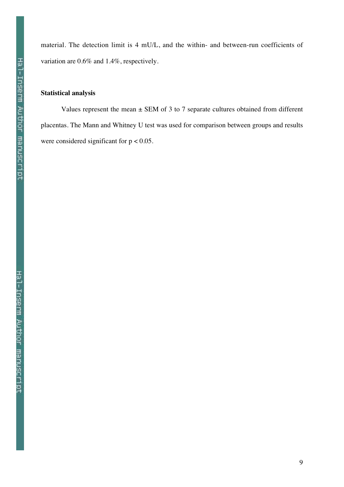material. The detection limit is 4 mU/L, and the within- and between-run coefficients of variation are 0.6% and 1.4%, respectively.

# **Statistical analysis**

Values represent the mean  $\pm$  SEM of 3 to 7 separate cultures obtained from different placentas. The Mann and Whitney U test was used for comparison between groups and results were considered significant for  $p < 0.05$ .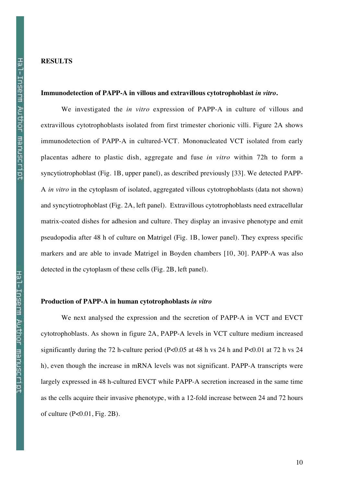# **RESULTS**

### **Immunodetection of PAPP-A in villous and extravillous cytotrophoblast** *in vitro***.**

We investigated the *in vitro* expression of PAPP-A in culture of villous and extravillous cytotrophoblasts isolated from first trimester chorionic villi. Figure 2A shows immunodetection of PAPP-A in cultured-VCT. Mononucleated VCT isolated from early placentas adhere to plastic dish, aggregate and fuse *in vitro* within 72h to form a syncytiotrophoblast (Fig. 1B, upper panel), as described previously [33]. We detected PAPP-A *in vitro* in the cytoplasm of isolated, aggregated villous cytotrophoblasts (data not shown) and syncytiotrophoblast (Fig. 2A, left panel). Extravillous cytotrophoblasts need extracellular matrix-coated dishes for adhesion and culture. They display an invasive phenotype and emit pseudopodia after 48 h of culture on Matrigel (Fig. 1B, lower panel). They express specific markers and are able to invade Matrigel in Boyden chambers [10, 30]. PAPP-A was also detected in the cytoplasm of these cells (Fig. 2B, left panel).

### **Production of PAPP-A in human cytotrophoblasts** *in vitro*

We next analysed the expression and the secretion of PAPP-A in VCT and EVCT cytotrophoblasts. As shown in figure 2A, PAPP-A levels in VCT culture medium increased significantly during the 72 h-culture period (P<0.05 at 48 h vs 24 h and P<0.01 at 72 h vs 24 h), even though the increase in mRNA levels was not significant. PAPP-A transcripts were largely expressed in 48 h-cultured EVCT while PAPP-A secretion increased in the same time as the cells acquire their invasive phenotype, with a 12-fold increase between 24 and 72 hours of culture (P<0.01, Fig. 2B).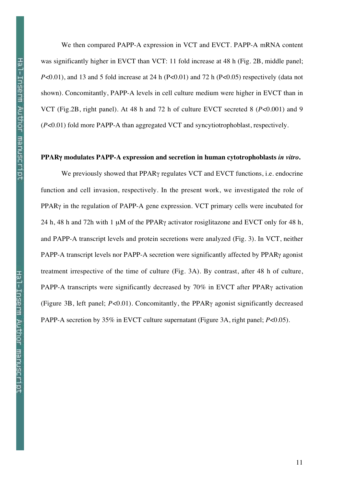We then compared PAPP-A expression in VCT and EVCT. PAPP-A mRNA content was significantly higher in EVCT than VCT: 11 fold increase at 48 h (Fig. 2B, middle panel; *P*<0.01), and 13 and 5 fold increase at 24 h (P<0.01) and 72 h (P<0.05) respectively (data not shown). Concomitantly, PAPP-A levels in cell culture medium were higher in EVCT than in VCT (Fig.2B, right panel). At 48 h and 72 h of culture EVCT secreted 8 (*P*<0.001) and 9 (*P*<0.01) fold more PAPP-A than aggregated VCT and syncytiotrophoblast, respectively.

### **PPAR**γ **modulates PAPP-A expression and secretion in human cytotrophoblasts** *in vitro***.**

We previously showed that PPARγ regulates VCT and EVCT functions, i.e. endocrine function and cell invasion, respectively. In the present work, we investigated the role of PPARγ in the regulation of PAPP-A gene expression. VCT primary cells were incubated for 24 h, 48 h and 72h with 1 µM of the PPARγ activator rosiglitazone and EVCT only for 48 h, and PAPP-A transcript levels and protein secretions were analyzed (Fig. 3). In VCT, neither PAPP-A transcript levels nor PAPP-A secretion were significantly affected by PPARγ agonist treatment irrespective of the time of culture (Fig. 3A). By contrast, after 48 h of culture, PAPP-A transcripts were significantly decreased by 70% in EVCT after PPARγ activation (Figure 3B, left panel; *P*<0.01). Concomitantly, the PPARγ agonist significantly decreased PAPP-A secretion by 35% in EVCT culture supernatant (Figure 3A, right panel; *P*<0.05).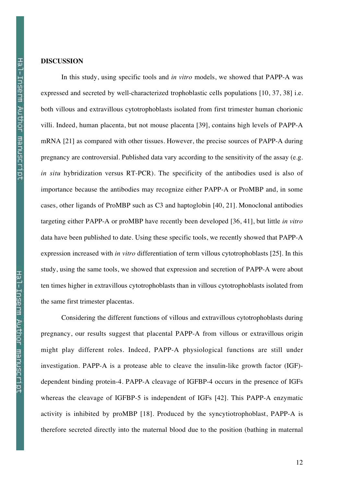# **DISCUSSION**

In this study, using specific tools and *in vitro* models, we showed that PAPP-A was expressed and secreted by well-characterized trophoblastic cells populations [10, 37, 38] i.e. both villous and extravillous cytotrophoblasts isolated from first trimester human chorionic villi. Indeed, human placenta, but not mouse placenta [39], contains high levels of PAPP-A mRNA [21] as compared with other tissues. However, the precise sources of PAPP-A during pregnancy are controversial. Published data vary according to the sensitivity of the assay (e.g. *in situ* hybridization versus RT-PCR). The specificity of the antibodies used is also of importance because the antibodies may recognize either PAPP-A or ProMBP and, in some cases, other ligands of ProMBP such as C3 and haptoglobin [40, 21]. Monoclonal antibodies targeting either PAPP-A or proMBP have recently been developed [36, 41], but little *in vitro* data have been published to date. Using these specific tools, we recently showed that PAPP-A expression increased with *in vitro* differentiation of term villous cytotrophoblasts [25]. In this study, using the same tools, we showed that expression and secretion of PAPP-A were about ten times higher in extravillous cytotrophoblasts than in villous cytotrophoblasts isolated from the same first trimester placentas.

Considering the different functions of villous and extravillous cytotrophoblasts during pregnancy, our results suggest that placental PAPP-A from villous or extravillous origin might play different roles. Indeed, PAPP-A physiological functions are still under investigation. PAPP-A is a protease able to cleave the insulin-like growth factor (IGF) dependent binding protein-4. PAPP-A cleavage of IGFBP-4 occurs in the presence of IGFs whereas the cleavage of IGFBP-5 is independent of IGFs [42]. This PAPP-A enzymatic activity is inhibited by proMBP [18]. Produced by the syncytiotrophoblast, PAPP-A is therefore secreted directly into the maternal blood due to the position (bathing in maternal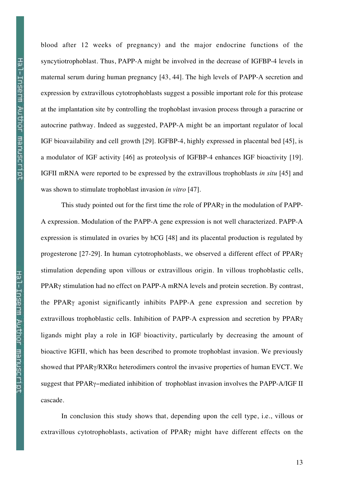blood after 12 weeks of pregnancy) and the major endocrine functions of the syncytiotrophoblast. Thus, PAPP-A might be involved in the decrease of IGFBP-4 levels in maternal serum during human pregnancy [43, 44]. The high levels of PAPP-A secretion and expression by extravillous cytotrophoblasts suggest a possible important role for this protease at the implantation site by controlling the trophoblast invasion process through a paracrine or autocrine pathway. Indeed as suggested, PAPP-A might be an important regulator of local IGF bioavailability and cell growth [29]. IGFBP-4, highly expressed in placental bed [45], is a modulator of IGF activity [46] as proteolysis of IGFBP-4 enhances IGF bioactivity [19]. IGFII mRNA were reported to be expressed by the extravillous trophoblasts *in situ* [45] and was shown to stimulate trophoblast invasion *in vitro* [47].

This study pointed out for the first time the role of PPARγ in the modulation of PAPP-A expression. Modulation of the PAPP-A gene expression is not well characterized. PAPP-A expression is stimulated in ovaries by hCG [48] and its placental production is regulated by progesterone [27-29]. In human cytotrophoblasts, we observed a different effect of PPARγ stimulation depending upon villous or extravillous origin. In villous trophoblastic cells, PPARγ stimulation had no effect on PAPP-A mRNA levels and protein secretion. By contrast, the PPARγ agonist significantly inhibits PAPP-A gene expression and secretion by extravillous trophoblastic cells. Inhibition of PAPP-A expression and secretion by PPARγ ligands might play a role in IGF bioactivity, particularly by decreasing the amount of bioactive IGFII, which has been described to promote trophoblast invasion. We previously showed that PPAR $\gamma$ /RXR $\alpha$  heterodimers control the invasive properties of human EVCT. We suggest that PPARγ−mediated inhibition of trophoblast invasion involves the PAPP-A/IGF II cascade.

In conclusion this study shows that, depending upon the cell type, i.e., villous or extravillous cytotrophoblasts, activation of PPARγ might have different effects on the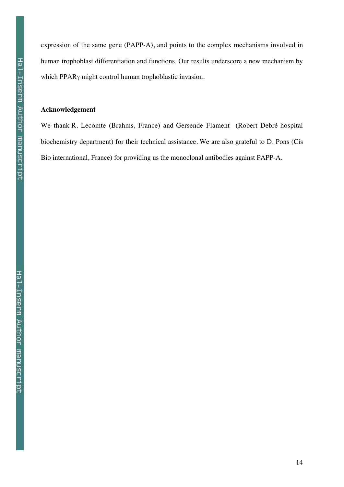expression of the same gene (PAPP-A), and points to the complex mechanisms involved in human trophoblast differentiation and functions. Our results underscore a new mechanism by which PPARγ might control human trophoblastic invasion.

# **Acknowledgement**

We thank R. Lecomte (Brahms, France) and Gersende Flament (Robert Debré hospital biochemistry department) for their technical assistance. We are also grateful to D. Pons (Cis Bio international, France) for providing us the monoclonal antibodies against PAPP-A.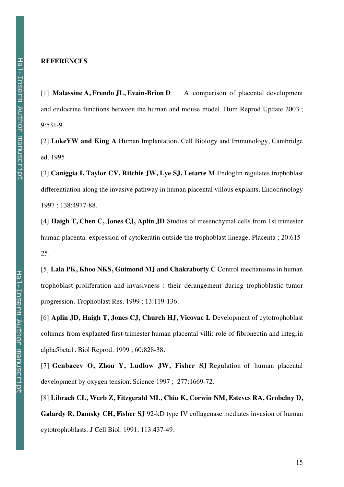# **REFERENCES**

[1] **Malassine A, Frendo JL, Evain-Brion D** A comparison of placental development and endocrine functions between the human and mouse model. Hum Reprod Update 2003 ; 9:531-9.

[2] **LokeYW and King A** Human Implantation. Cell Biology and Immunology, Cambridge ed. 1995

[3] **Caniggia I, Taylor CV, Ritchie JW, Lye SJ, Letarte M** Endoglin regulates trophoblast differentiation along the invasive pathway in human placental villous explants. Endocrinology 1997 ; 138:4977-88.

[4] **Haigh T, Chen C, Jones CJ, Aplin JD** Studies of mesenchymal cells from 1st trimester human placenta: expression of cytokeratin outside the trophoblast lineage. Placenta ; 20:615- 25.

[5] **Lala PK, Khoo NKS, Guimond MJ and Chakraborty C** Control mechanisms in human trophoblast proliferation and invasivness : their derangement during trophoblastic tumor progression. Trophoblast Res. 1999 ; 13:119-136.

[6] **Aplin JD, Haigh T, Jones CJ, Church HJ, Vicovac L** Development of cytotrophoblast columns from explanted first-trimester human placental villi: role of fibronectin and integrin alpha5beta1. Biol Reprod. 1999 ; 60:828-38.

[7] **Genbacev O, Zhou Y, Ludlow JW, Fisher SJ** Regulation of human placental development by oxygen tension. Science 1997 ; 277:1669-72.

[8] **Librach CL, Werb Z, Fitzgerald ML, Chiu K, Corwin NM, Esteves RA, Grobelny D, Galardy R, Damsky CH, Fisher SJ** 92-kD type IV collagenase mediates invasion of human cytotrophoblasts. J Cell Biol. 1991; 113:437-49.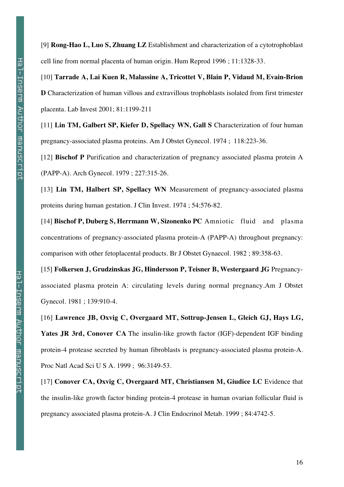[9] **Rong-Hao L, Luo S, Zhuang LZ** Establishment and characterization of a cytotrophoblast cell line from normal placenta of human origin. Hum Reprod 1996 ; 11:1328-33.

[10] **Tarrade A, Lai Kuen R, Malassine A, Tricottet V, Blain P, Vidaud M, Evain-Brion D** Characterization of human villous and extravillous trophoblasts isolated from first trimester placenta. Lab Invest 2001; 81:1199-211

[11] **Lin TM, Galbert SP, Kiefer D, Spellacy WN, Gall S** Characterization of four human pregnancy-associated plasma proteins. Am J Obstet Gynecol. 1974 ; 118:223-36.

[12] **Bischof P** Purification and characterization of pregnancy associated plasma protein A (PAPP-A). Arch Gynecol. 1979 ; 227:315-26.

[13] **Lin TM, Halbert SP, Spellacy WN** Measurement of pregnancy-associated plasma proteins during human gestation. J Clin Invest. 1974 ; 54:576-82.

[14] **Bischof P, Duberg S, Herrmann W, Sizonenko PC** Amniotic fluid and plasma concentrations of pregnancy-associated plasma protein-A (PAPP-A) throughout pregnancy: comparison with other fetoplacental products. Br J Obstet Gynaecol. 1982 ; 89:358-63.

[15] **Folkersen J, Grudzinskas JG, Hindersson P, Teisner B, Westergaard JG** Pregnancyassociated plasma protein A: circulating levels during normal pregnancy.Am J Obstet Gynecol. 1981 ; 139:910-4.

[16] **Lawrence JB, Oxvig C, Overgaard MT, Sottrup-Jensen L, Gleich GJ, Hays LG, Yates JR 3rd, Conover CA** The insulin-like growth factor (IGF)-dependent IGF binding protein-4 protease secreted by human fibroblasts is pregnancy-associated plasma protein-A. Proc Natl Acad Sci U S A. 1999 ; 96:3149-53.

[17] **Conover CA, Oxvig C, Overgaard MT, Christiansen M, Giudice LC** Evidence that the insulin-like growth factor binding protein-4 protease in human ovarian follicular fluid is pregnancy associated plasma protein-A. J Clin Endocrinol Metab. 1999 ; 84:4742-5.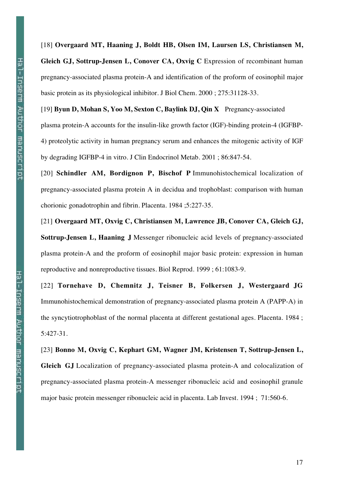[18] **Overgaard MT, Haaning J, Boldt HB, Olsen IM, Laursen LS, Christiansen M, Gleich GJ, Sottrup-Jensen L, Conover CA, Oxvig C** Expression of recombinant human pregnancy-associated plasma protein-A and identification of the proform of eosinophil major basic protein as its physiological inhibitor. J Biol Chem. 2000 ; 275:31128-33.

[19] **Byun D, Mohan S, Yoo M, Sexton C, Baylink DJ, Qin X** Pregnancy-associated plasma protein-A accounts for the insulin-like growth factor (IGF)-binding protein-4 (IGFBP-4) proteolytic activity in human pregnancy serum and enhances the mitogenic activity of IGF by degrading IGFBP-4 in vitro. J Clin Endocrinol Metab. 2001 ; 86:847-54.

[20] **Schindler AM, Bordignon P, Bischof P** Immunohistochemical localization of pregnancy-associated plasma protein A in decidua and trophoblast: comparison with human chorionic gonadotrophin and fibrin. Placenta. 1984 ;5:227-35.

[21] **Overgaard MT, Oxvig C, Christiansen M, Lawrence JB, Conover CA, Gleich GJ, Sottrup-Jensen L, Haaning J** Messenger ribonucleic acid levels of pregnancy-associated plasma protein-A and the proform of eosinophil major basic protein: expression in human reproductive and nonreproductive tissues. Biol Reprod. 1999 ; 61:1083-9.

[22] **Tornehave D, Chemnitz J, Teisner B, Folkersen J, Westergaard JG** Immunohistochemical demonstration of pregnancy-associated plasma protein A (PAPP-A) in the syncytiotrophoblast of the normal placenta at different gestational ages. Placenta. 1984 ; 5:427-31.

[23] **Bonno M, Oxvig C, Kephart GM, Wagner JM, Kristensen T, Sottrup-Jensen L, Gleich GJ** Localization of pregnancy-associated plasma protein-A and colocalization of pregnancy-associated plasma protein-A messenger ribonucleic acid and eosinophil granule major basic protein messenger ribonucleic acid in placenta. Lab Invest. 1994 ; 71:560-6.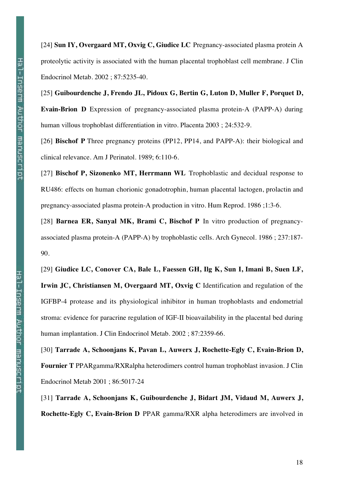[24] **Sun IY, Overgaard MT, Oxvig C, Giudice LC** Pregnancy-associated plasma protein A proteolytic activity is associated with the human placental trophoblast cell membrane. J Clin Endocrinol Metab. 2002 ; 87:5235-40.

[25] **Guibourdenche J, Frendo JL, Pidoux G, Bertin G, Luton D, Muller F, Porquet D, Evain-Brion D** Expression of pregnancy-associated plasma protein-A (PAPP-A) during human villous trophoblast differentiation in vitro. Placenta 2003 ; 24:532-9.

[26] **Bischof P** Three pregnancy proteins (PP12, PP14, and PAPP-A): their biological and clinical relevance. Am J Perinatol. 1989; 6:110-6.

[27] **Bischof P, Sizonenko MT, Herrmann WL** Trophoblastic and decidual response to RU486: effects on human chorionic gonadotrophin, human placental lactogen, prolactin and pregnancy-associated plasma protein-A production in vitro. Hum Reprod. 1986 ;1:3-6.

[28] **Barnea ER, Sanyal MK, Brami C, Bischof P** In vitro production of pregnancyassociated plasma protein-A (PAPP-A) by trophoblastic cells. Arch Gynecol. 1986 ; 237:187- 90.

[29] **Giudice LC, Conover CA, Bale L, Faessen GH, Ilg K, Sun I, Imani B, Suen LF, Irwin JC, Christiansen M, Overgaard MT, Oxvig C** Identification and regulation of the IGFBP-4 protease and its physiological inhibitor in human trophoblasts and endometrial stroma: evidence for paracrine regulation of IGF-II bioavailability in the placental bed during human implantation. J Clin Endocrinol Metab. 2002 ; 87:2359-66.

[30] **Tarrade A, Schoonjans K, Pavan L, Auwerx J, Rochette-Egly C, Evain-Brion D, Fournier T** PPARgamma/RXRalpha heterodimers control human trophoblast invasion. J Clin Endocrinol Metab 2001 ; 86:5017-24

[31] **Tarrade A, Schoonjans K, Guibourdenche J, Bidart JM, Vidaud M, Auwerx J, Rochette-Egly C, Evain-Brion D** PPAR gamma/RXR alpha heterodimers are involved in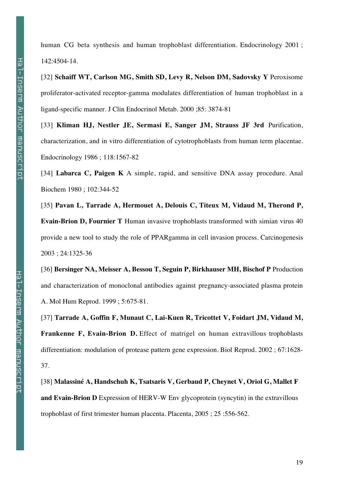[32] **Schaiff WT, Carlson MG, Smith SD, Levy R, Nelson DM, Sadovsky Y** Peroxisome proliferator-activated receptor-gamma modulates differentiation of human trophoblast in a ligand-specific manner. J Clin Endocrinol Metab. 2000 ;85: 3874-81

[33] **Kliman HJ, Nestler JE, Sermasi E, Sanger JM, Strauss JF 3rd** Purification, characterization, and in vitro differentiation of cytotrophoblasts from human term placentae. Endocrinology 1986 ; 118:1567-82

[34] **Labarca C, Paigen K** A simple, rapid, and sensitive DNA assay procedure. Anal Biochem 1980 ; 102:344-52

[35] **Pavan L, Tarrade A, Hermouet A, Delouis C, Titeux M, Vidaud M, Therond P, Evain-Brion D, Fournier T** Human invasive trophoblasts transformed with simian virus 40 provide a new tool to study the role of PPARgamma in cell invasion process. Carcinogenesis 2003 ; 24:1325-36

[36] **Bersinger NA, Meisser A, Bessou T, Seguin P, Birkhauser MH, Bischof P** Production and characterization of monoclonal antibodies against pregnancy-associated plasma protein A. Mol Hum Reprod. 1999 ; 5:675-81.

[37] **Tarrade A, Goffin F, Munaut C, Lai-Kuen R, Tricottet V, Foidart JM, Vidaud M, Frankenne F, Evain-Brion D.** Effect of matrigel on human extravillous trophoblasts differentiation: modulation of protease pattern gene expression. Biol Reprod. 2002 ; 67:1628- 37.

[38] **Malassiné A, Handschuh K, Tsatsaris V, Gerbaud P, Cheynet V, Oriol G, Mallet F and Evain-Brion D** Expression of HERV-W Env glycoprotein (syncytin) in the extravillous trophoblast of first trimester human placenta. Placenta, 2005 ; 25 :556-562.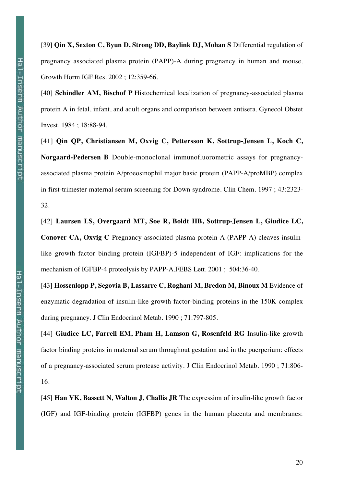[39] **Qin X, Sexton C, Byun D, Strong DD, Baylink DJ, Mohan S** Differential regulation of pregnancy associated plasma protein (PAPP)-A during pregnancy in human and mouse. Growth Horm IGF Res. 2002 ; 12:359-66.

[40] **Schindler AM, Bischof P** Histochemical localization of pregnancy-associated plasma protein A in fetal, infant, and adult organs and comparison between antisera. Gynecol Obstet Invest. 1984 ; 18:88-94.

[41] **Qin QP, Christiansen M, Oxvig C, Pettersson K, Sottrup-Jensen L, Koch C, Norgaard-Pedersen B** Double-monoclonal immunofluorometric assays for pregnancyassociated plasma protein A/proeosinophil major basic protein (PAPP-A/proMBP) complex in first-trimester maternal serum screening for Down syndrome. Clin Chem. 1997 ; 43:2323- 32.

[42] **Laursen LS, Overgaard MT, Soe R, Boldt HB, Sottrup-Jensen L, Giudice LC, Conover CA, Oxvig C** Pregnancy-associated plasma protein-A (PAPP-A) cleaves insulinlike growth factor binding protein (IGFBP)-5 independent of IGF: implications for the mechanism of IGFBP-4 proteolysis by PAPP-A.FEBS Lett. 2001 ; 504:36-40.

[43] **Hossenlopp P, Segovia B, Lassarre C, Roghani M, Bredon M, Binoux M** Evidence of enzymatic degradation of insulin-like growth factor-binding proteins in the 150K complex during pregnancy. J Clin Endocrinol Metab. 1990 ; 71:797-805.

[44] **Giudice LC, Farrell EM, Pham H, Lamson G, Rosenfeld RG** Insulin-like growth factor binding proteins in maternal serum throughout gestation and in the puerperium: effects of a pregnancy-associated serum protease activity. J Clin Endocrinol Metab. 1990 ; 71:806- 16.

[45] **Han VK, Bassett N, Walton J, Challis JR** The expression of insulin-like growth factor (IGF) and IGF-binding protein (IGFBP) genes in the human placenta and membranes: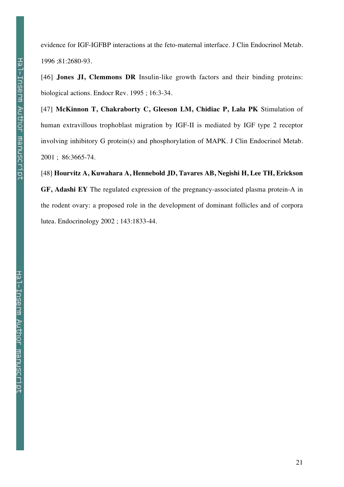evidence for IGF-IGFBP interactions at the feto-maternal interface. J Clin Endocrinol Metab. 1996 ;81:2680-93.

[46] **Jones JI, Clemmons DR** Insulin-like growth factors and their binding proteins: biological actions. Endocr Rev. 1995 ; 16:3-34.

[47] **McKinnon T, Chakraborty C, Gleeson LM, Chidiac P, Lala PK** Stimulation of human extravillous trophoblast migration by IGF-II is mediated by IGF type 2 receptor involving inhibitory G protein(s) and phosphorylation of MAPK. J Clin Endocrinol Metab. 2001 ; 86:3665-74.

[48] **Hourvitz A, Kuwahara A, Hennebold JD, Tavares AB, Negishi H, Lee TH, Erickson GF, Adashi EY** The regulated expression of the pregnancy-associated plasma protein-A in the rodent ovary: a proposed role in the development of dominant follicles and of corpora lutea. Endocrinology 2002 ; 143:1833-44.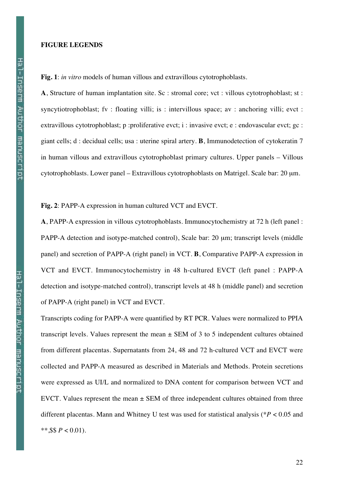### **FIGURE LEGENDS**

**Fig. 1**: *in vitro* models of human villous and extravillous cytotrophoblasts.

**A**, Structure of human implantation site. Sc : stromal core; vct : villous cytotrophoblast; st : syncytiotrophoblast; fv : floating villi; is : intervillous space; av : anchoring villi; evct : extravillous cytotrophoblast; p :proliferative evct; i : invasive evct; e : endovascular evct; gc : giant cells; d : decidual cells; usa : uterine spiral artery. **B**, Immunodetection of cytokeratin 7 in human villous and extravillous cytotrophoblast primary cultures. Upper panels – Villous cytotrophoblasts. Lower panel – Extravillous cytotrophoblasts on Matrigel. Scale bar: 20 µm.

**Fig. 2**: PAPP-A expression in human cultured VCT and EVCT.

**A**, PAPP-A expression in villous cytotrophoblasts. Immunocytochemistry at 72 h (left panel : PAPP-A detection and isotype-matched control), Scale bar: 20  $\mu$ m; transcript levels (middle panel) and secretion of PAPP-A (right panel) in VCT. **B**, Comparative PAPP-A expression in VCT and EVCT. Immunocytochemistry in 48 h-cultured EVCT (left panel : PAPP-A detection and isotype-matched control), transcript levels at 48 h (middle panel) and secretion of PAPP-A (right panel) in VCT and EVCT.

Transcripts coding for PAPP-A were quantified by RT PCR. Values were normalized to PPIA transcript levels. Values represent the mean  $\pm$  SEM of 3 to 5 independent cultures obtained from different placentas. Supernatants from 24, 48 and 72 h-cultured VCT and EVCT were collected and PAPP-A measured as described in Materials and Methods. Protein secretions were expressed as UI/L and normalized to DNA content for comparison between VCT and EVCT. Values represent the mean  $\pm$  SEM of three independent cultures obtained from three different placentas. Mann and Whitney U test was used for statistical analysis (\**P* < 0.05 and \*\*, \$\$  $P < 0.01$ ).